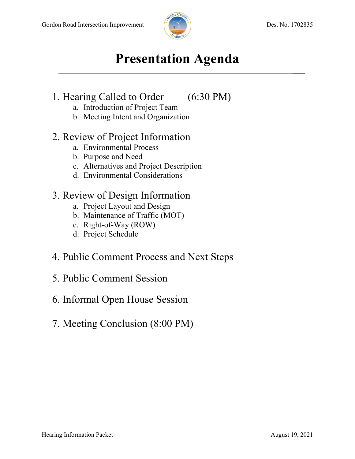

# **Presentation Agenda**

### 1. Hearing Called to Order (6:30 PM)

- a. Introduction of Project Team
- b. Meeting Intent and Organization

### 2. Review of Project Information

- a. Environmental Process
- b. Purpose and Need
- c. Alternatives and Project Description
- d. Environmental Considerations

## 3. Review of Design Information

- a. Project Layout and Design
- b. Maintenance of Traffic (MOT)
- c. Right-of-Way (ROW)
- d. Project Schedule
- 4. Public Comment Process and Next Steps
- 5. Public Comment Session
- 6. Informal Open House Session
- 7. Meeting Conclusion (8:00 PM)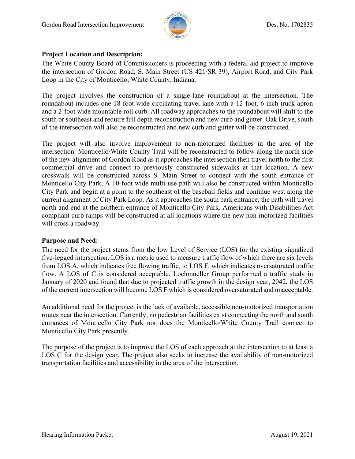

### **Project Location and Description:**

The White County Board of Commissioners is proceeding with a federal aid project to improve the intersection of Gordon Road, S. Main Street (US 421/SR 39), Airport Road, and City Park Loop in the City of Monticello, White County, Indiana.

The project involves the construction of a single-lane roundabout at the intersection. The roundabout includes one 18-foot wide circulating travel lane with a 12-foot, 6-inch truck apron and a 2-foot wide mountable roll curb. All roadway approaches to the roundabout will shift to the south or southeast and require full depth reconstruction and new curb and gutter. Oak Drive, south of the intersection will also be reconstructed and new curb and gutter will be constructed.

The project will also involve improvement to non-motorized facilities in the area of the intersection. Monticello/White County Trail will be reconstructed to follow along the north side of the new alignment of Gordon Road as it approaches the intersection then travel north to the first commercial drive and connect to previously constructed sidewalks at that location. A new crosswalk will be constructed across S. Main Street to connect with the south entrance of Monticello City Park. A 10-foot wide multi-use path will also be constructed within Monticello City Park and begin at a point to the southeast of the baseball fields and continue west along the current alignment of City Park Loop. As it approaches the south park entrance, the path will travel north and end at the northern entrance of Monticello City Park. Americans with Disabilities Act compliant curb ramps will be constructed at all locations where the new non-motorized facilities will cross a roadway.

### **Purpose and Need:**

The need for the project stems from the low Level of Service (LOS) for the existing signalized five-legged intersection. LOS is a metric used to measure traffic flow of which there are six levels from LOS A, which indicates free flowing traffic, to LOS F, which indicates oversaturated traffic flow. A LOS of C is considered acceptable. Lochmueller Group performed a traffic study in January of 2020 and found that due to projected traffic growth in the design year, 2042, the LOS of the current intersection will become LOS F which is considered oversaturated and unacceptable.

An additional need for the project is the lack of available, accessible non-motorized transportation routes near the intersection. Currently, no pedestrian facilities exist connecting the north and south entrances of Monticello City Park nor does the Monticello/White County Trail connect to Monticello City Park presently.

The purpose of the project is to improve the LOS of each approach at the intersection to at least a LOS C for the design year. The project also seeks to increase the availability of non-motorized transportation facilities and accessibility in the area of the intersection.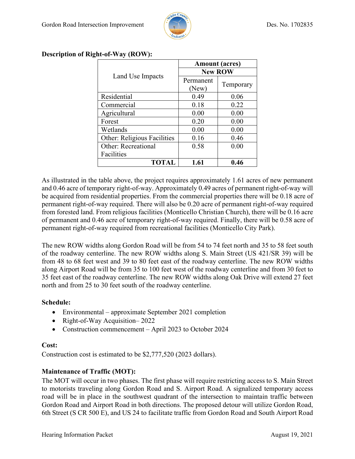

| Land Use Impacts                   | <b>Amount</b> (acres) |           |
|------------------------------------|-----------------------|-----------|
|                                    | <b>New ROW</b>        |           |
|                                    | Permanent             | Temporary |
|                                    | (New)                 |           |
| Residential                        | 0.49                  | 0.06      |
| Commercial                         | 0.18                  | 0.22      |
| Agricultural                       | 0.00                  | 0.00      |
| Forest                             | 0.20                  | 0.00      |
| Wetlands                           | 0.00                  | 0.00      |
| <b>Other: Religious Facilities</b> | 0.16                  | 0.46      |
| Other: Recreational                | 0.58                  | 0.00      |
| Facilities                         |                       |           |
| <b>TOTAL</b>                       | 1.61                  | 0.46      |

### **Description of Right-of-Way (ROW):**

As illustrated in the table above, the project requires approximately 1.61 acres of new permanent and 0.46 acre of temporary right-of-way. Approximately 0.49 acres of permanent right-of-way will be acquired from residential properties. From the commercial properties there will be 0.18 acre of permanent right-of-way required. There will also be 0.20 acre of permanent right-of-way required from forested land. From religious facilities (Monticello Christian Church), there will be 0.16 acre of permanent and 0.46 acre of temporary right-of-way required. Finally, there will be 0.58 acre of permanent right-of-way required from recreational facilities (Monticello City Park).

The new ROW widths along Gordon Road will be from 54 to 74 feet north and 35 to 58 feet south of the roadway centerline. The new ROW widths along S. Main Street (US 421/SR 39) will be from 48 to 68 feet west and 39 to 80 feet east of the roadway centerline. The new ROW widths along Airport Road will be from 35 to 100 feet west of the roadway centerline and from 30 feet to 35 feet east of the roadway centerline. The new ROW widths along Oak Drive will extend 27 feet north and from 25 to 30 feet south of the roadway centerline.

### **Schedule:**

- Environmental approximate September 2021 completion
- Right-of-Way Acquisition–2022
- Construction commencement April 2023 to October 2024

#### **Cost:**

Construction cost is estimated to be \$2,777,520 (2023 dollars).

### **Maintenance of Traffic (MOT):**

The MOT will occur in two phases. The first phase will require restricting access to S. Main Street to motorists traveling along Gordon Road and S. Airport Road. A signalized temporary access road will be in place in the southwest quadrant of the intersection to maintain traffic between Gordon Road and Airport Road in both directions. The proposed detour will utilize Gordon Road, 6th Street (S CR 500 E), and US 24 to facilitate traffic from Gordon Road and South Airport Road